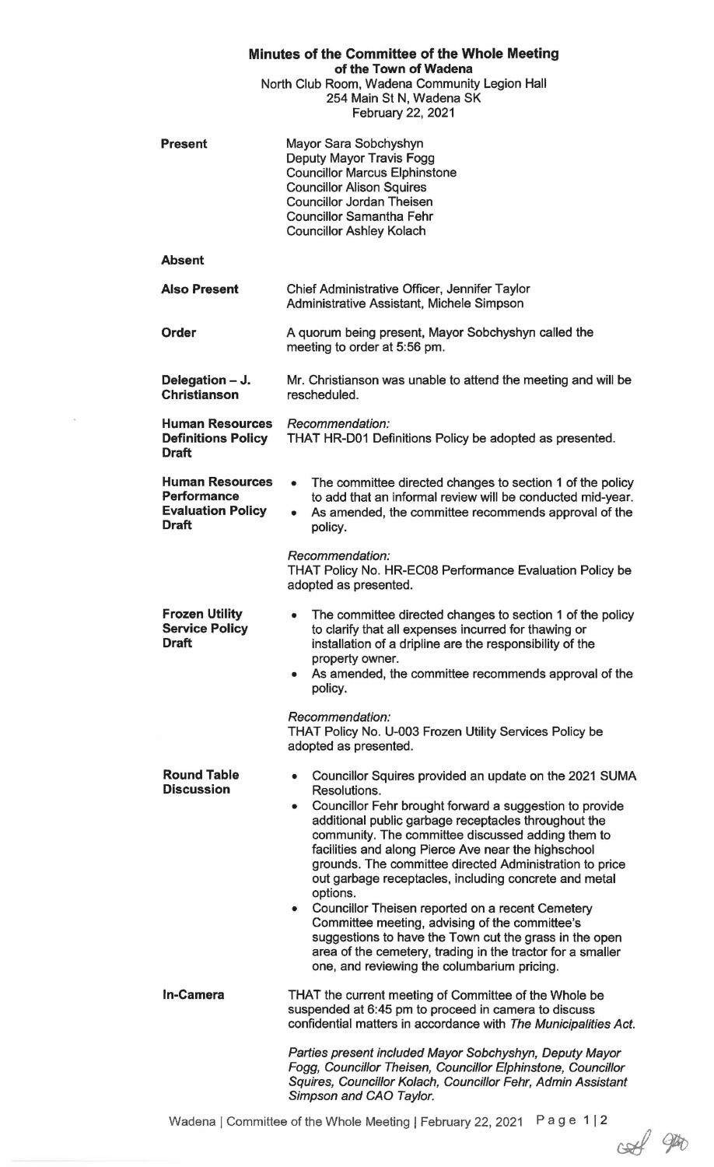| Minutes of the Committee of the Whole Meeting<br>of the Town of Wadena<br>North Club Room, Wadena Community Legion Hall<br>254 Main St N, Wadena SK<br>February 22, 2021 |                                                                                                                                                                                                                                                                                                                                                                                                                                                                                                                                                                                                                                                                                                                                   |
|--------------------------------------------------------------------------------------------------------------------------------------------------------------------------|-----------------------------------------------------------------------------------------------------------------------------------------------------------------------------------------------------------------------------------------------------------------------------------------------------------------------------------------------------------------------------------------------------------------------------------------------------------------------------------------------------------------------------------------------------------------------------------------------------------------------------------------------------------------------------------------------------------------------------------|
| <b>Present</b>                                                                                                                                                           | Mayor Sara Sobchyshyn<br>Deputy Mayor Travis Fogg<br><b>Councillor Marcus Elphinstone</b><br><b>Councillor Alison Squires</b><br><b>Councillor Jordan Theisen</b><br><b>Councillor Samantha Fehr</b><br><b>Councillor Ashley Kolach</b>                                                                                                                                                                                                                                                                                                                                                                                                                                                                                           |
| <b>Absent</b>                                                                                                                                                            |                                                                                                                                                                                                                                                                                                                                                                                                                                                                                                                                                                                                                                                                                                                                   |
| <b>Also Present</b>                                                                                                                                                      | Chief Administrative Officer, Jennifer Taylor<br>Administrative Assistant, Michele Simpson                                                                                                                                                                                                                                                                                                                                                                                                                                                                                                                                                                                                                                        |
| <b>Order</b>                                                                                                                                                             | A quorum being present, Mayor Sobchyshyn called the<br>meeting to order at 5:56 pm.                                                                                                                                                                                                                                                                                                                                                                                                                                                                                                                                                                                                                                               |
| Delegation - J.<br><b>Christianson</b>                                                                                                                                   | Mr. Christianson was unable to attend the meeting and will be<br>rescheduled.                                                                                                                                                                                                                                                                                                                                                                                                                                                                                                                                                                                                                                                     |
| <b>Human Resources</b><br><b>Definitions Policy</b><br><b>Draft</b>                                                                                                      | Recommendation:<br>THAT HR-D01 Definitions Policy be adopted as presented.                                                                                                                                                                                                                                                                                                                                                                                                                                                                                                                                                                                                                                                        |
| <b>Human Resources</b><br><b>Performance</b><br><b>Evaluation Policy</b><br><b>Draft</b>                                                                                 | The committee directed changes to section 1 of the policy<br>$\bullet$<br>to add that an informal review will be conducted mid-year.<br>As amended, the committee recommends approval of the<br>$\bullet$<br>policy.                                                                                                                                                                                                                                                                                                                                                                                                                                                                                                              |
|                                                                                                                                                                          | Recommendation:<br>THAT Policy No. HR-EC08 Performance Evaluation Policy be<br>adopted as presented.                                                                                                                                                                                                                                                                                                                                                                                                                                                                                                                                                                                                                              |
| <b>Frozen Utility</b><br><b>Service Policy</b><br><b>Draft</b>                                                                                                           | The committee directed changes to section 1 of the policy<br>to clarify that all expenses incurred for thawing or<br>installation of a dripline are the responsibility of the<br>property owner.<br>As amended, the committee recommends approval of the<br>۰<br>policy.                                                                                                                                                                                                                                                                                                                                                                                                                                                          |
|                                                                                                                                                                          | Recommendation:<br>THAT Policy No. U-003 Frozen Utility Services Policy be<br>adopted as presented.                                                                                                                                                                                                                                                                                                                                                                                                                                                                                                                                                                                                                               |
| <b>Round Table</b><br><b>Discussion</b>                                                                                                                                  | Councillor Squires provided an update on the 2021 SUMA<br>۰<br>Resolutions.<br>Councillor Fehr brought forward a suggestion to provide<br>۰<br>additional public garbage receptacles throughout the<br>community. The committee discussed adding them to<br>facilities and along Pierce Ave near the highschool<br>grounds. The committee directed Administration to price<br>out garbage receptacles, including concrete and metal<br>options.<br>Councillor Theisen reported on a recent Cemetery<br>٠<br>Committee meeting, advising of the committee's<br>suggestions to have the Town cut the grass in the open<br>area of the cemetery, trading in the tractor for a smaller<br>one, and reviewing the columbarium pricing. |
| <b>In-Camera</b>                                                                                                                                                         | THAT the current meeting of Committee of the Whole be<br>suspended at 6:45 pm to proceed in camera to discuss<br>confidential matters in accordance with The Municipalities Act.<br>Parties present included Mayor Sobchyshyn, Deputy Mayor<br>Fogg, Councillor Theisen, Councillor Elphinstone, Councillor<br>Squires, Councillor Kolach, Councillor Fehr, Admin Assistant<br>Simpson and CAO Taylor.                                                                                                                                                                                                                                                                                                                            |

 $\mathbf{x}_1$ 

 $\frac{2}{\sqrt{2}}$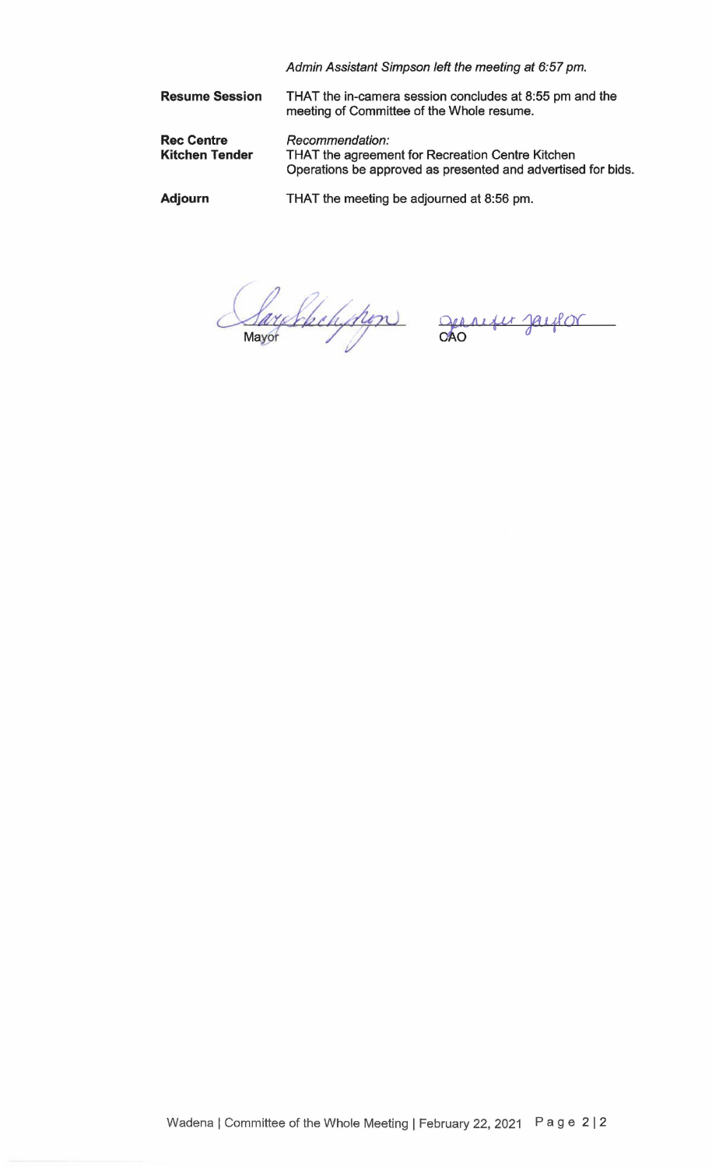|                                            | Admin Assistant Simpson left the meeting at 6:57 pm.                                                                                |
|--------------------------------------------|-------------------------------------------------------------------------------------------------------------------------------------|
| <b>Resume Session</b>                      | THAT the in-camera session concludes at 8:55 pm and the<br>meeting of Committee of the Whole resume.                                |
| <b>Rec Centre</b><br><b>Kitchen Tender</b> | Recommendation:<br>THAT the agreement for Recreation Centre Kitchen<br>Operations be approved as presented and advertised for bids. |
| Adjourn                                    | THAT the meeting be adjourned at 8:56 pm.                                                                                           |

Sarphension generies paulon